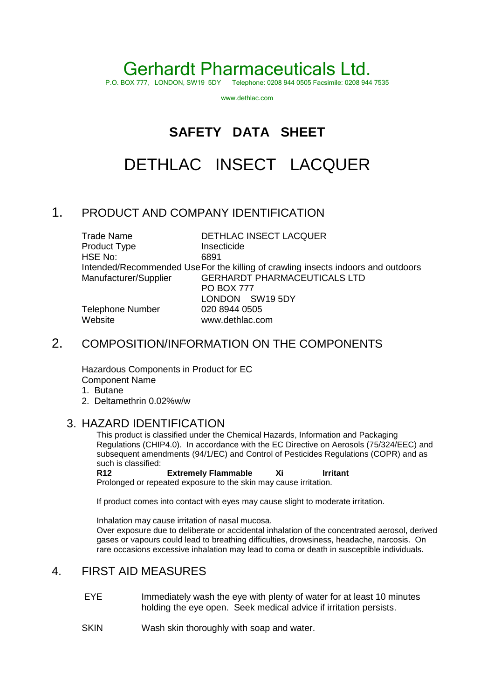# Gerhardt Pharmaceuticals Ltd.

Telephone: 0208 944 0505 Facsimile: 0208 944 7535

www.dethlac.com

### **SAFETY DATA SHEET**

## DETHLAC INSECT LACQUER

#### 1. PRODUCT AND COMPANY IDENTIFICATION

| <b>Trade Name</b>       | DETHLAC INSECT LACQUER                                                            |
|-------------------------|-----------------------------------------------------------------------------------|
| Product Type            | Insecticide                                                                       |
| HSE No:                 | 6891                                                                              |
|                         | Intended/Recommended Use For the killing of crawling insects indoors and outdoors |
| Manufacturer/Supplier   | <b>GERHARDT PHARMACEUTICALS LTD</b>                                               |
|                         | <b>PO BOX 777</b>                                                                 |
|                         | LONDON SW19 5DY                                                                   |
| <b>Telephone Number</b> | 020 8944 0505                                                                     |
| Website                 | www.dethlac.com                                                                   |

#### 2. COMPOSITION/INFORMATION ON THE COMPONENTS

Hazardous Components in Product for EC Component Name

- 1. Butane
- 2. Deltamethrin 0.02%w/w

#### 3. HAZARD IDENTIFICATION

This product is classified under the Chemical Hazards, Information and Packaging Regulations (CHIP4.0). In accordance with the EC Directive on Aerosols (75/324/EEC) and subsequent amendments (94/1/EC) and Control of Pesticides Regulations (COPR) and as such is classified:

R12 **Extremely Flammable** Xi Irritant Prolonged or repeated exposure to the skin may cause irritation.

If product comes into contact with eyes may cause slight to moderate irritation.

Inhalation may cause irritation of nasal mucosa.

Over exposure due to deliberate or accidental inhalation of the concentrated aerosol, derived gases or vapours could lead to breathing difficulties, drowsiness, headache, narcosis. On rare occasions excessive inhalation may lead to coma or death in susceptible individuals.

#### 4. FIRST AID MEASURES

- EYE Immediately wash the eye with plenty of water for at least 10 minutes holding the eye open. Seek medical advice if irritation persists.
- SKIN Wash skin thoroughly with soap and water.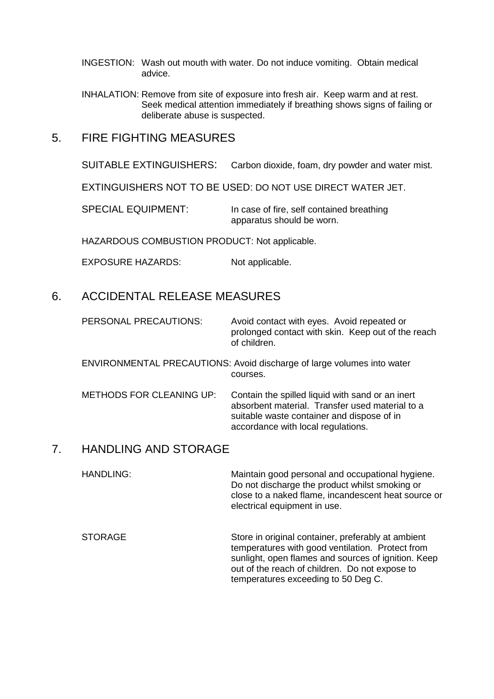- INGESTION: Wash out mouth with water. Do not induce vomiting. Obtain medical advice.
- INHALATION: Remove from site of exposure into fresh air. Keep warm and at rest. Seek medical attention immediately if breathing shows signs of failing or deliberate abuse is suspected.
- 5. FIRE FIGHTING MEASURES

SUITABLE EXTINGUISHERS: Carbon dioxide, foam, dry powder and water mist.

EXTINGUISHERS NOT TO BE USED: DO NOT USE DIRECT WATER JET.

SPECIAL EQUIPMENT: In case of fire, self contained breathing apparatus should be worn.

HAZARDOUS COMBUSTION PRODUCT: Not applicable.

EXPOSURE HAZARDS: Not applicable.

#### 6. ACCIDENTAL RELEASE MEASURES

PERSONAL PRECAUTIONS: Avoid contact with eyes. Avoid repeated or prolonged contact with skin. Keep out of the reach of children.

ENVIRONMENTAL PRECAUTIONS: Avoid discharge of large volumes into water courses.

METHODS FOR CLEANING UP: Contain the spilled liquid with sand or an inert absorbent material. Transfer used material to a suitable waste container and dispose of in accordance with local regulations.

#### 7. HANDLING AND STORAGE

HANDLING: Maintain good personal and occupational hygiene. Do not discharge the product whilst smoking or close to a naked flame, incandescent heat source or electrical equipment in use.

STORAGE STORAGE STORAGE STORAGE STORAGE temperatures with good ventilation. Protect from sunlight, open flames and sources of ignition. Keep out of the reach of children. Do not expose to temperatures exceeding to 50 Deg C.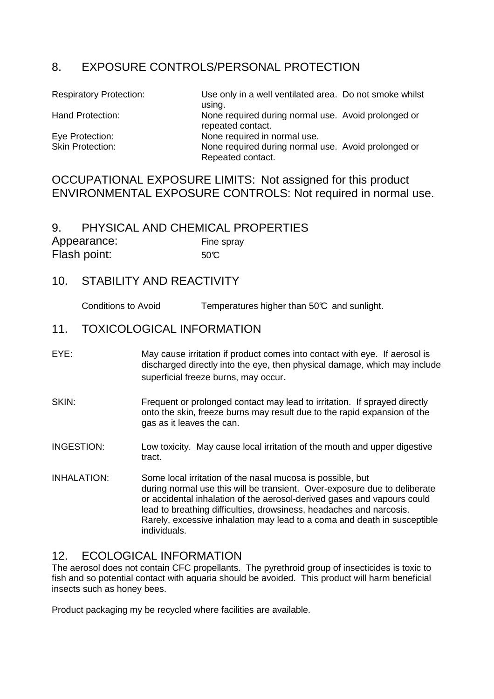#### 8. EXPOSURE CONTROLS/PERSONAL PROTECTION

| <b>Respiratory Protection:</b> | Use only in a well ventilated area. Do not smoke whilst                  |  |
|--------------------------------|--------------------------------------------------------------------------|--|
|                                | using.                                                                   |  |
| Hand Protection:               | None required during normal use. Avoid prolonged or<br>repeated contact. |  |
| Eye Protection:                | None required in normal use.                                             |  |
| <b>Skin Protection:</b>        | None required during normal use. Avoid prolonged or<br>Repeated contact. |  |

#### OCCUPATIONAL EXPOSURE LIMITS: Not assigned for this product ENVIRONMENTAL EXPOSURE CONTROLS: Not required in normal use.

#### 9. PHYSICAL AND CHEMICAL PROPERTIES

| Appearance:  | Fine spray |
|--------------|------------|
| Flash point: | 50C        |

#### 10. STABILITY AND REACTIVITY

Conditions to Avoid Temperatures higher than 50°C and sunlight.

#### 11. TOXICOLOGICAL INFORMATION

- EYE: May cause irritation if product comes into contact with eye. If aerosol is discharged directly into the eye, then physical damage, which may include superficial freeze burns, may occur.
- SKIN: Frequent or prolonged contact may lead to irritation. If sprayed directly onto the skin, freeze burns may result due to the rapid expansion of the gas as it leaves the can.
- INGESTION: Low toxicity. May cause local irritation of the mouth and upper digestive tract.
- INHALATION: Some local irritation of the nasal mucosa is possible, but during normal use this will be transient. Over-exposure due to deliberate or accidental inhalation of the aerosol-derived gases and vapours could lead to breathing difficulties, drowsiness, headaches and narcosis. Rarely, excessive inhalation may lead to a coma and death in susceptible individuals.

#### 12. ECOLOGICAL INFORMATION

The aerosol does not contain CFC propellants. The pyrethroid group of insecticides is toxic to fish and so potential contact with aquaria should be avoided. This product will harm beneficial insects such as honey bees.

Product packaging my be recycled where facilities are available.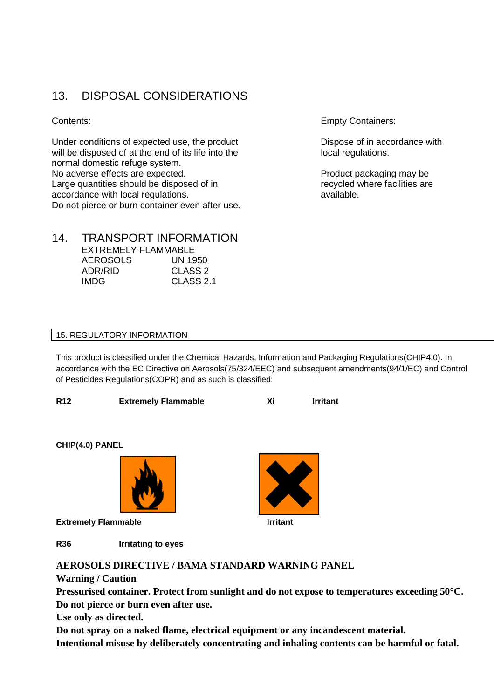#### 13. DISPOSAL CONSIDERATIONS

Under conditions of expected use, the product Dispose of in accordance with will be disposed of at the end of its life into the local regulations. normal domestic refuge system. No adverse effects are expected. The extended of the Product packaging may be Large quantities should be disposed of in Theorem 2012 recycled where facilities are accordance with local regulations. The contract of the available. Do not pierce or burn container even after use.

#### 14. TRANSPORT INFORMATION

|                 | EXTREMELY FLAMMABLE |
|-----------------|---------------------|
| <b>AEROSOLS</b> | UN 1950             |
| ADR/RID         | CLASS <sub>2</sub>  |
| IMDG.           | CLASS 2.1           |

Contents: Empty Containers:

#### 15. REGULATORY INFORMATION

This product is classified under the Chemical Hazards, Information and Packaging Regulations(CHIP4.0). In accordance with the EC Directive on Aerosols(75/324/EEC) and subsequent amendments(94/1/EC) and Control of Pesticides Regulations(COPR) and as such is classified:

| <b>R12</b> | <b>Extremely Flammable</b> |  | <b>Irritant</b> |
|------------|----------------------------|--|-----------------|
|            |                            |  |                 |

**CHIP(4.0) PANEL** 



**Extremely Flammable Intervalled Extremely Flammable** 

**R36 Irritating to eyes** 



**Warning / Caution** 

**Pressurised container. Protect from sunlight and do not expose to temperatures exceeding 50°C. Do not pierce or burn even after use.** 

**Use only as directed.** 

**Do not spray on a naked flame, electrical equipment or any incandescent material. Intentional misuse by deliberately concentrating and inhaling contents can be harmful or fatal.** 

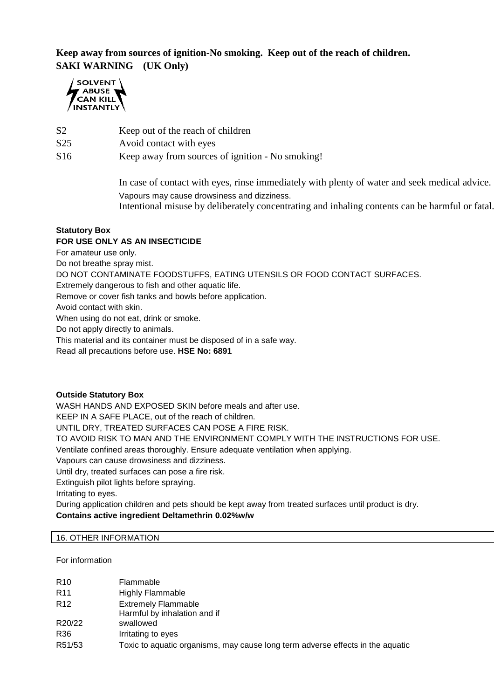#### **Keep away from sources of ignition-No smoking. Keep out of the reach of children. SAKI WARNING (UK Only)**



- S2 Keep out of the reach of children
- S25 Avoid contact with eyes
- S16 Keep away from sources of ignition No smoking!

In case of contact with eyes, rinse immediately with plenty of water and seek medical advice. Vapours may cause drowsiness and dizziness. Intentional misuse by deliberately concentrating and inhaling contents can be harmful or fatal.

#### **Statutory Box**

#### **FOR USE ONLY AS AN INSECTICIDE**

For amateur use only.

Do not breathe spray mist.

DO NOT CONTAMINATE FOODSTUFFS, EATING UTENSILS OR FOOD CONTACT SURFACES.

Extremely dangerous to fish and other aquatic life.

Remove or cover fish tanks and bowls before application.

Avoid contact with skin.

When using do not eat, drink or smoke.

Do not apply directly to animals.

This material and its container must be disposed of in a safe way.

Read all precautions before use. **HSE No: 6891**

#### **Outside Statutory Box**

WASH HANDS AND EXPOSED SKIN before meals and after use. KEEP IN A SAFE PLACE, out of the reach of children. UNTIL DRY, TREATED SURFACES CAN POSE A FIRE RISK. TO AVOID RISK TO MAN AND THE ENVIRONMENT COMPLY WITH THE INSTRUCTIONS FOR USE. Ventilate confined areas thoroughly. Ensure adequate ventilation when applying. Vapours can cause drowsiness and dizziness. Until dry, treated surfaces can pose a fire risk. Extinguish pilot lights before spraying. Irritating to eyes. During application children and pets should be kept away from treated surfaces until product is dry.

**Contains active ingredient Deltamethrin 0.02%w/w** 

#### 16. OTHER INFORMATION

For information

| R <sub>10</sub> | Flammable                                                                      |
|-----------------|--------------------------------------------------------------------------------|
| R <sub>11</sub> | <b>Highly Flammable</b>                                                        |
| R <sub>12</sub> | <b>Extremely Flammable</b><br>Harmful by inhalation and if                     |
| R20/22          | swallowed                                                                      |
| R36             | Irritating to eyes                                                             |
| R51/53          | Toxic to aquatic organisms, may cause long term adverse effects in the aquatic |